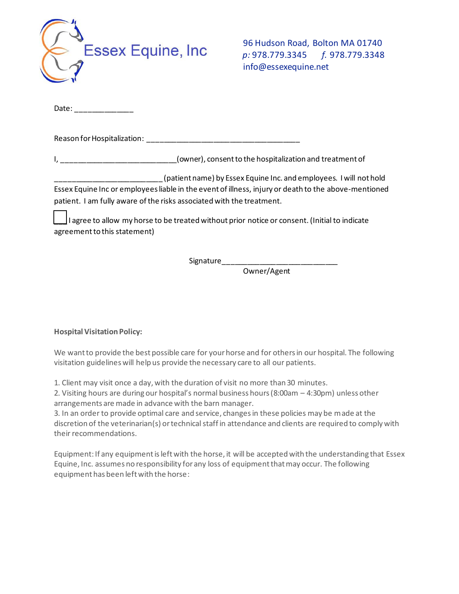

96 Hudson Road, Bolton MA 01740  *p:* 978.779.3345 *f.* 978.779.3348 info@essexequine.net

Date:

Reason for Hospitalization: \_\_\_\_\_\_\_\_\_\_\_\_\_\_\_\_\_\_\_\_\_\_\_\_\_\_\_\_\_\_\_\_\_\_\_\_\_

I, \_\_\_\_\_\_\_\_\_\_\_\_\_\_\_\_\_\_\_\_\_\_\_\_\_\_\_(owner), consent to the hospitalization and treatment of

(patient name) by Essex Equine Inc. and employees. I will not hold Essex Equine Inc or employees liable in the event of illness, injury or death to the above-mentioned patient. I am fully aware of the risks associated with the treatment.

I agree to allow my horse to be treated without prior notice or consent. (Initial to indicate agreement to this statement)

Signature\_\_\_\_\_\_\_\_\_\_\_\_\_\_\_\_\_\_\_\_\_\_\_\_\_\_\_\_

Owner/Agent

**Hospital Visitation Policy:**

We want to provide the best possible care for your horse and for others in our hospital. The following visitation guidelines will help us provide the necessary care to all our patients.

1. Client may visit once a day, with the duration of visit no more than 30 minutes.

2. Visiting hours are during our hospital's normal business hours (8:00am – 4:30pm) unless other arrangements are made in advance with the barn manager.

3. In an order to provide optimal care and service, changes in these policies may be made at the discretion of the veterinarian(s) or technical staff in attendance and clients are required to comply with their recommendations.

Equipment: If any equipment is left with the horse, it will be accepted with the understanding that Essex Equine, Inc. assumes no responsibility for any loss of equipment that may occur. The following equipment has been left with the horse: